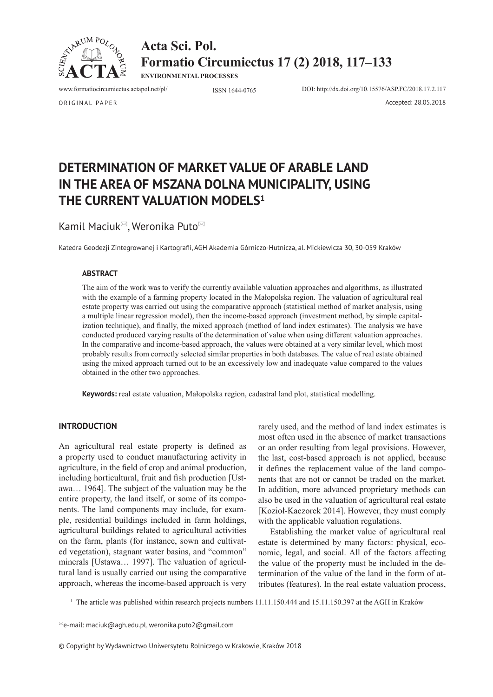

**Acta Sci. Pol. Formatio Circumiectus 17 (2) 2018, 117–133**

**ENVIRONMENTAL PROCESSES**

www.formatiocircumiectus.actapol.net/pl/ ISSN 1644-0765 DOI: http://dx.doi.org/10.15576/ASP.FC/2018.17.2.117

ORIGINAL PAPER Accepted: 28.05.2018

# **DETERMINATION OF MARKET VALUE OF ARABLE LAND IN THE AREA OF MSZANA DOLNA MUNICIPALITY, USING THE CURRENT VALUATION MODELS1**

Kamil Maciuk<sup>⊠</sup>, Weronika Puto<sup>⊠</sup>

Katedra Geodezji Zintegrowanej i Kartografii, AGH Akademia Górniczo-Hutnicza, al. Mickiewicza 30, 30-059 Kraków

## **ABSTRACT**

The aim of the work was to verify the currently available valuation approaches and algorithms, as illustrated with the example of a farming property located in the Małopolska region. The valuation of agricultural real estate property was carried out using the comparative approach (statistical method of market analysis, using a multiple linear regression model), then the income-based approach (investment method, by simple capitalization technique), and finally, the mixed approach (method of land index estimates). The analysis we have conducted produced varying results of the determination of value when using different valuation approaches. In the comparative and income-based approach, the values were obtained at a very similar level, which most probably results from correctly selected similar properties in both databases. The value of real estate obtained using the mixed approach turned out to be an excessively low and inadequate value compared to the values obtained in the other two approaches.

**Keywords:** real estate valuation, Małopolska region, cadastral land plot, statistical modelling.

# **INTRODUCTION**

An agricultural real estate property is defined as a property used to conduct manufacturing activity in agriculture, in the field of crop and animal production, including horticultural, fruit and fish production [Ustawa… 1964]. The subject of the valuation may be the entire property, the land itself, or some of its components. The land components may include, for example, residential buildings included in farm holdings, agricultural buildings related to agricultural activities on the farm, plants (for instance, sown and cultivated vegetation), stagnant water basins, and "common" minerals [Ustawa… 1997]. The valuation of agricultural land is usually carried out using the comparative approach, whereas the income-based approach is very

rarely used, and the method of land index estimates is most often used in the absence of market transactions or an order resulting from legal provisions. However, the last, cost-based approach is not applied, because it defines the replacement value of the land components that are not or cannot be traded on the market. In addition, more advanced proprietary methods can also be used in the valuation of agricultural real estate [Kozioł-Kaczorek 2014]. However, they must comply with the applicable valuation regulations.

Establishing the market value of agricultural real estate is determined by many factors: physical, economic, legal, and social. All of the factors affecting the value of the property must be included in the determination of the value of the land in the form of attributes (features). In the real estate valuation process,

<sup>1</sup> The article was published within research projects numbers 11.11.150.444 and 15.11.150.397 at the AGH in Kraków

© Copyright by Wydawnictwo Uniwersytetu Rolniczego w Krakowie, Kraków 2018

 $^{\boxtimes}$ e-mail: maciuk@agh.edu.pl, weronika.puto2@gmail.com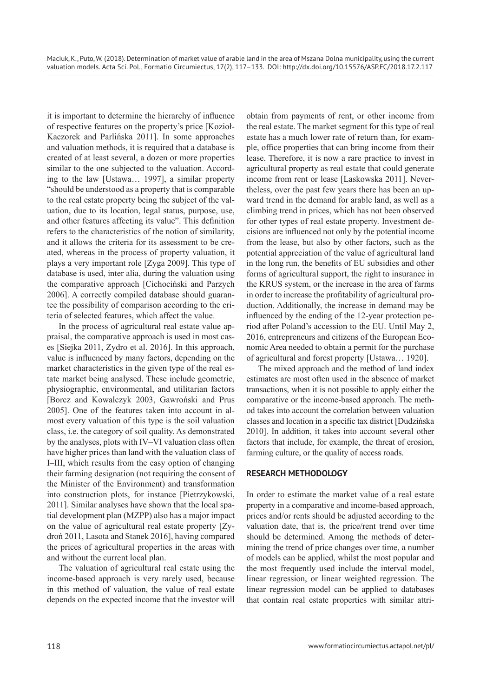it is important to determine the hierarchy of influence of respective features on the property's price [Kozioł-Kaczorek and Parlińska 2011]. In some approaches and valuation methods, it is required that a database is created of at least several, a dozen or more properties similar to the one subjected to the valuation. According to the law [Ustawa… 1997], a similar property "should be understood as a property that is comparable to the real estate property being the subject of the valuation, due to its location, legal status, purpose, use, and other features affecting its value". This definition refers to the characteristics of the notion of similarity, and it allows the criteria for its assessment to be created, whereas in the process of property valuation, it plays a very important role [Zyga 2009]. This type of database is used, inter alia, during the valuation using the comparative approach [Cichociński and Parzych 2006]. A correctly compiled database should guarantee the possibility of comparison according to the criteria of selected features, which affect the value.

In the process of agricultural real estate value appraisal, the comparative approach is used in most cases [Siejka 2011, Zydro et al. 2016]. In this approach, value is influenced by many factors, depending on the market characteristics in the given type of the real estate market being analysed. These include geometric, physiographic, environmental, and utilitarian factors [Borcz and Kowalczyk 2003, Gawroński and Prus 2005]. One of the features taken into account in almost every valuation of this type is the soil valuation class, i.e. the category of soil quality. As demonstrated by the analyses, plots with IV–VI valuation class often have higher prices than land with the valuation class of I–III, which results from the easy option of changing their farming designation (not requiring the consent of the Minister of the Environment) and transformation into construction plots, for instance [Pietrzykowski, 2011]. Similar analyses have shown that the local spatial development plan (MZPP) also has a major impact on the value of agricultural real estate property [Zydroń 2011, Lasota and Stanek 2016], having compared the prices of agricultural properties in the areas with and without the current local plan.

The valuation of agricultural real estate using the income-based approach is very rarely used, because in this method of valuation, the value of real estate depends on the expected income that the investor will obtain from payments of rent, or other income from the real estate. The market segment for this type of real estate has a much lower rate of return than, for example, office properties that can bring income from their lease. Therefore, it is now a rare practice to invest in agricultural property as real estate that could generate income from rent or lease [Laskowska 2011]. Nevertheless, over the past few years there has been an upward trend in the demand for arable land, as well as a climbing trend in prices, which has not been observed for other types of real estate property. Investment decisions are influenced not only by the potential income from the lease, but also by other factors, such as the potential appreciation of the value of agricultural land in the long run, the benefits of EU subsidies and other forms of agricultural support, the right to insurance in the KRUS system, or the increase in the area of farms in order to increase the profitability of agricultural production. Additionally, the increase in demand may be influenced by the ending of the 12-year protection period after Poland's accession to the EU. Until May 2, 2016, entrepreneurs and citizens of the European Economic Area needed to obtain a permit for the purchase of agricultural and forest property [Ustawa… 1920].

The mixed approach and the method of land index estimates are most often used in the absence of market transactions, when it is not possible to apply either the comparative or the income-based approach. The method takes into account the correlation between valuation classes and location in a specific tax district [Dudzińska 2010]. In addition, it takes into account several other factors that include, for example, the threat of erosion, farming culture, or the quality of access roads.

# **RESEARCH METHODOLOGY**

In order to estimate the market value of a real estate property in a comparative and income-based approach, prices and/or rents should be adjusted according to the valuation date, that is, the price/rent trend over time should be determined. Among the methods of determining the trend of price changes over time, a number of models can be applied, whilst the most popular and the most frequently used include the interval model, linear regression, or linear weighted regression. The linear regression model can be applied to databases that contain real estate properties with similar attri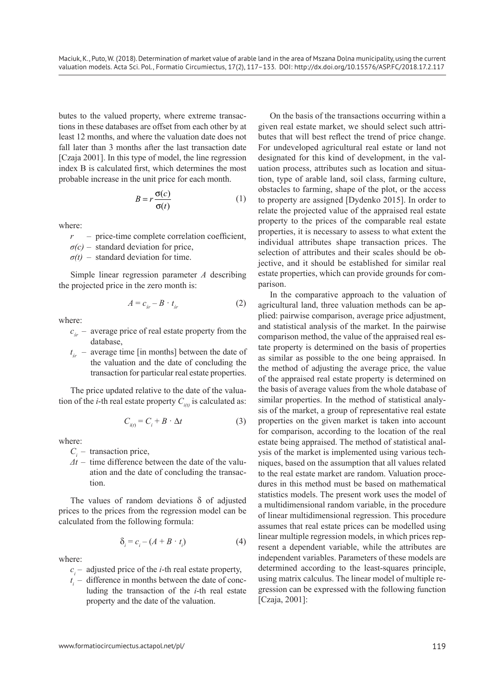butes to the valued property, where extreme transactions in these databases are offset from each other by at least 12 months, and where the valuation date does not fall later than 3 months after the last transaction date [Czaja 2001]. In this type of model, the line regression index B is calculated first, which determines the most probable increase in the unit price for each month.

$$
B = r \frac{\sigma(c)}{\sigma(t)} \tag{1}
$$

where:

- *r* price-time complete correlation coefficient,
- $\sigma(c)$  standard deviation for price,
- $\sigma(t)$  standard deviation for time.

Simple linear regression parameter *A* describing the projected price in the zero month is:

$$
A = c_{sr} - B \cdot t_{sr} \tag{2}
$$

where:

- $c_{\xi_r}$  average price of real estate property from the database,
- $t_{\xi_r}$  average time [in months] between the date of the valuation and the date of concluding the transaction for particular real estate properties.

The price updated relative to the date of the valuation of the *i*-th real estate property  $C_{i(t)}$  is calculated as:

$$
C_{i(t)} = C_i + B \cdot \Delta t \tag{3}
$$

where:

- *Ci* transaction price,
- $\Delta t$  time difference between the date of the valuation and the date of concluding the transaction.

The values of random deviations δ of adjusted prices to the prices from the regression model can be calculated from the following formula:

$$
\delta_i = c_i - (A + B \cdot t_i) \tag{4}
$$

where:

- $c_i$  adjusted price of the *i*-th real estate property,
- $t_i$  difference in months between the date of concluding the transaction of the *i*-th real estate property and the date of the valuation.

On the basis of the transactions occurring within a given real estate market, we should select such attributes that will best reflect the trend of price change. For undeveloped agricultural real estate or land not designated for this kind of development, in the valuation process, attributes such as location and situation, type of arable land, soil class, farming culture, obstacles to farming, shape of the plot, or the access to property are assigned [Dydenko 2015]. In order to relate the projected value of the appraised real estate property to the prices of the comparable real estate properties, it is necessary to assess to what extent the individual attributes shape transaction prices. The selection of attributes and their scales should be objective, and it should be established for similar real estate properties, which can provide grounds for comparison.

In the comparative approach to the valuation of agricultural land, three valuation methods can be applied: pairwise comparison, average price adjustment, and statistical analysis of the market. In the pairwise comparison method, the value of the appraised real estate property is determined on the basis of properties as similar as possible to the one being appraised. In the method of adjusting the average price, the value of the appraised real estate property is determined on the basis of average values from the whole database of similar properties. In the method of statistical analysis of the market, a group of representative real estate properties on the given market is taken into account for comparison, according to the location of the real estate being appraised. The method of statistical analysis of the market is implemented using various techniques, based on the assumption that all values related to the real estate market are random. Valuation procedures in this method must be based on mathematical statistics models. The present work uses the model of a multidimensional random variable, in the procedure of linear multidimensional regression. This procedure assumes that real estate prices can be modelled using linear multiple regression models, in which prices represent a dependent variable, while the attributes are independent variables. Parameters of these models are determined according to the least-squares principle, using matrix calculus. The linear model of multiple regression can be expressed with the following function [Czaja, 2001]: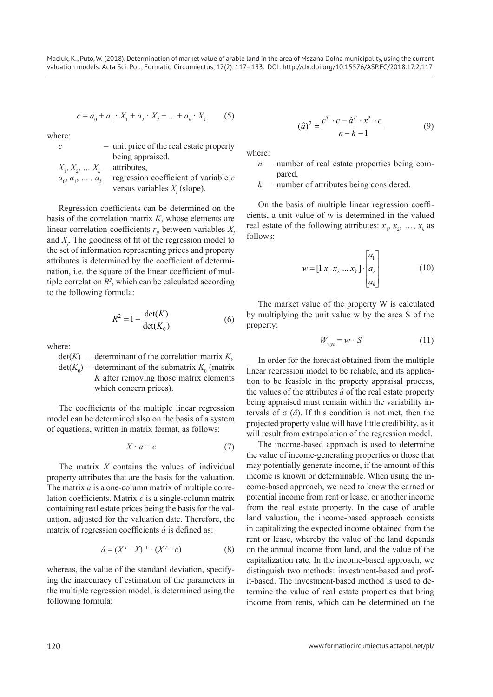$$
c = a_0 + a_1 \cdot X_1 + a_2 \cdot X_2 + \dots + a_k \cdot X_k \tag{5}
$$

where:

|                                      | - unit price of the real estate property                       |
|--------------------------------------|----------------------------------------------------------------|
|                                      | being appraised.                                               |
| $X_1, X_2, \ldots X_k$ – attributes, |                                                                |
|                                      | $a_0, a_1, \ldots, a_k$ – regression coefficient of variable c |
|                                      | versus variables $X_i$ (slope).                                |

Regression coefficients can be determined on the basis of the correlation matrix *K*, whose elements are linear correlation coefficients  $r_{ij}$  between variables  $X_i$ and *Xj* . The goodness of fit of the regression model to the set of information representing prices and property attributes is determined by the coefficient of determination, i.e. the square of the linear coefficient of multiple correlation  $R^2$ , which can be calculated according to the following formula:

$$
R^2 = 1 - \frac{\det(K)}{\det(K_0)}
$$
 (6)

where:

 $det(K)$  – determinant of the correlation matrix *K*,  $\det(K_0)$  – determinant of the submatrix  $K_0$  (matrix *K* after removing those matrix elements which concern prices).

The coefficients of the multiple linear regression model can be determined also on the basis of a system of equations, written in matrix format, as follows:

$$
X \cdot a = c \tag{7}
$$

The matrix *X* contains the values of individual property attributes that are the basis for the valuation. The matrix *a* is a one-column matrix of multiple correlation coefficients. Matrix *c* is a single-column matrix containing real estate prices being the basis for the valuation, adjusted for the valuation date. Therefore, the matrix of regression coefficients *â* is defined as:

$$
\hat{a} = (X^T \cdot X)^{-1} \cdot (X^T \cdot c) \tag{8}
$$

whereas, the value of the standard deviation, specifying the inaccuracy of estimation of the parameters in the multiple regression model, is determined using the following formula:

$$
(\hat{a})^2 = \frac{c^T \cdot c - \hat{a}^T \cdot x^T \cdot c}{n - k - 1} \tag{9}
$$

where:

- $n$  number of real estate properties being compared,
- *k* number of attributes being considered.

On the basis of multiple linear regression coefficients, a unit value of w is determined in the valued real estate of the following attributes:  $x_1, x_2, ..., x_k$  as follows:

$$
w = \begin{bmatrix} 1 & x_1 & x_2 & \dots & x_k \end{bmatrix} \cdot \begin{bmatrix} a_1 \\ a_2 \\ a_k \end{bmatrix}
$$
 (10)

The market value of the property W is calculated by multiplying the unit value w by the area S of the property:

$$
W_{\text{wyc}} = w \cdot S \tag{11}
$$

In order for the forecast obtained from the multiple linear regression model to be reliable, and its application to be feasible in the property appraisal process, the values of the attributes *â* of the real estate property being appraised must remain within the variability intervals of σ (*â*). If this condition is not met, then the projected property value will have little credibility, as it will result from extrapolation of the regression model.

The income-based approach is used to determine the value of income-generating properties or those that may potentially generate income, if the amount of this income is known or determinable. When using the income-based approach, we need to know the earned or potential income from rent or lease, or another income from the real estate property. In the case of arable land valuation, the income-based approach consists in capitalizing the expected income obtained from the rent or lease, whereby the value of the land depends on the annual income from land, and the value of the capitalization rate. In the income-based approach, we distinguish two methods: investment-based and profit-based. The investment-based method is used to determine the value of real estate properties that bring income from rents, which can be determined on the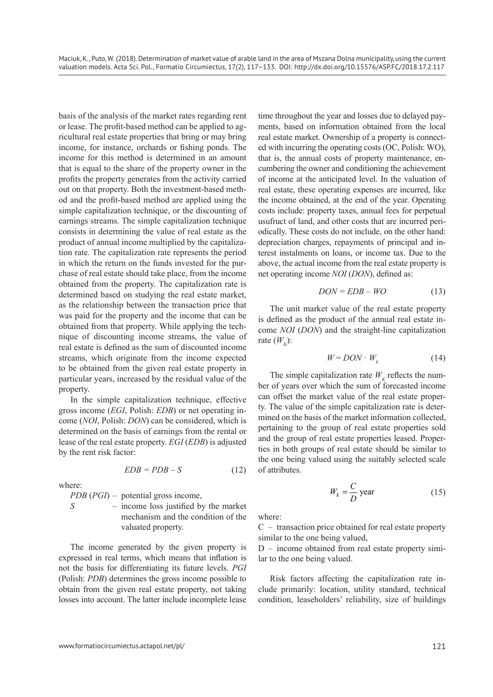basis of the analysis of the market rates regarding rent or lease. The profit-based method can be applied to agricultural real estate properties that bring or may bring income, for instance, orchards or fishing ponds. The income for this method is determined in an amount that is equal to the share of the property owner in the profits the property generates from the activity carried out on that property. Both the investment-based method and the profit-based method are applied using the simple capitalization technique, or the discounting of earnings streams. The simple capitalization technique consists in determining the value of real estate as the product of annual income multiplied by the capitalization rate. The capitalization rate represents the period in which the return on the funds invested for the purchase of real estate should take place, from the income obtained from the property. The capitalization rate is determined based on studying the real estate market, as the relationship between the transaction price that was paid for the property and the income that can be obtained from that property. While applying the technique of discounting income streams, the value of real estate is defined as the sum of discounted income streams, which originate from the income expected to be obtained from the given real estate property in particular years, increased by the residual value of the property.

In the simple capitalization technique, effective gross income (*EGI*, Polish: *EDB*) or net operating income (*NOI*, Polish: *DON*) can be considered, which is determined on the basis of earnings from the rental or lease of the real estate property. *EGI* (*EDB*) is adjusted by the rent risk factor:

$$
EDB = PDB - S \tag{12}
$$

where:

*PDB* (*PGI*) – potential gross income,

*S* – income loss justified by the market mechanism and the condition of the valuated property.

The income generated by the given property is expressed in real terms, which means that inflation is not the basis for differentiating its future levels. *PGI* (Polish: *PDB*) determines the gross income possible to obtain from the given real estate property, not taking losses into account. The latter include incomplete lease

time throughout the year and losses due to delayed payments, based on information obtained from the local real estate market. Ownership of a property is connected with incurring the operating costs (OC, Polish: WO), that is, the annual costs of property maintenance, encumbering the owner and conditioning the achievement of income at the anticipated level. In the valuation of real estate, these operating expenses are incurred, like the income obtained, at the end of the year. Operating costs include: property taxes, annual fees for perpetual usufruct of land, and other costs that are incurred periodically. These costs do not include, on the other hand: depreciation charges, repayments of principal and interest instalments on loans, or income tax. Due to the above, the actual income from the real estate property is net operating income *NOI* (*DON*), defined as:

$$
DON = EDB - WO \tag{13}
$$

The unit market value of the real estate property is defined as the product of the annual real estate income *NOI* (*DON*) and the straight-line capitalization rate  $(W<sub>\nu</sub>)$ :

$$
W = DON \cdot W_k \tag{14}
$$

The simple capitalization rate  $W_k$  reflects the number of years over which the sum of forecasted income can offset the market value of the real estate property. The value of the simple capitalization rate is determined on the basis of the market information collected, pertaining to the group of real estate properties sold and the group of real estate properties leased. Properties in both groups of real estate should be similar to the one being valued using the suitably selected scale of attributes.

$$
W_k = \frac{C}{D} \text{ year} \tag{15}
$$

where:

C – transaction price obtained for real estate property similar to the one being valued,

D – income obtained from real estate property similar to the one being valued.

Risk factors affecting the capitalization rate include primarily: location, utility standard, technical condition, leaseholders' reliability, size of buildings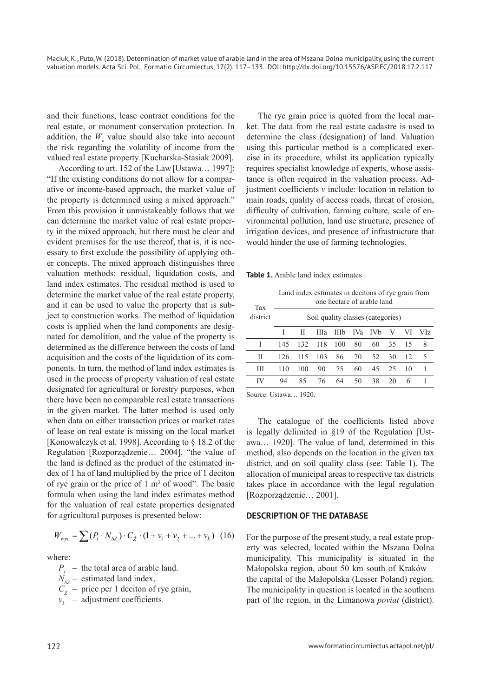and their functions, lease contract conditions for the real estate, or monument conservation protection. In addition, the  $W_k$  value should also take into account the risk regarding the volatility of income from the valued real estate property [Kucharska-Stasiak 2009].

According to art. 152 of the Law [Ustawa... 1997]: "If the existing conditions do not allow for a comparative or income-based approach, the market value of the property is determined using a mixed approach." From this provision it unmistakeably follows that we can determine the market value of real estate property in the mixed approach, but there must be clear and evident premises for the use thereof, that is, it is necessary to first exclude the possibility of applying other concepts. The mixed approach distinguishes three valuation methods: residual, liquidation costs, and land index estimates. The residual method is used to determine the market value of the real estate property, and it can be used to value the property that is subject to construction works. The method of liquidation costs is applied when the land components are designated for demolition, and the value of the property is determined as the difference between the costs of land acquisition and the costs of the liquidation of its components. In turn, the method of land index estimates is used in the process of property valuation of real estate designated for agricultural or forestry purposes, when there have been no comparable real estate transactions in the given market. The latter method is used only when data on either transaction prices or market rates of lease on real estate is missing on the local market [Konowalczyk et al. 1998]. According to § 18.2 of the Regulation [Rozporządzenie… 2004], "the value of the land is defined as the product of the estimated index of 1 ha of land multiplied by the price of 1 deciton of rye grain or the price of  $1 \text{ m}^3$  of wood". The basic formula when using the land index estimates method for the valuation of real estate properties designated for agricultural purposes is presented below:

$$
W_{\text{wyc}} = \sum (P_i \cdot N_{SZ}) \cdot C_2 \cdot (1 + v_1 + v_2 + \dots + v_k) \tag{16}
$$

where:

- *P<sub>i</sub>* the total area of arable land.
- $N_{\rm sz}$  estimated land index,
- $C_{\hat{z}}$  price per 1 deciton of rye grain,
- $v_k$  adjustment coefficients.

The rye grain price is quoted from the local market. The data from the real estate cadastre is used to determine the class (designation) of land. Valuation using this particular method is a complicated exercise in its procedure, whilst its application typically requires specialist knowledge of experts, whose assistance is often required in the valuation process. Adjustment coefficients *v* include: location in relation to main roads, quality of access roads, threat of erosion, difficulty of cultivation, farming culture, scale of environmental pollution, land use structure, presence of irrigation devices, and presence of infrastructure that would hinder the use of farming technologies.

**Table 1.** Arable land index estimates

| Tax      | Land index estimates in decitons of rye grain from<br>one hectare of arable land |     |     |     |                 |       |    |    |     |  |  |  |
|----------|----------------------------------------------------------------------------------|-----|-----|-----|-----------------|-------|----|----|-----|--|--|--|
| district | Soil quality classes (categories)                                                |     |     |     |                 |       |    |    |     |  |  |  |
|          |                                                                                  | Н   | Ша  | Шb  | IV <sub>a</sub> | - IVb | V  | VI | VIz |  |  |  |
| I        | 145                                                                              | 132 | 118 | 100 | 80              | 60    | 35 | 15 | 8   |  |  |  |
| Н        | 126                                                                              | 115 | 103 | 86  | 70              | -52.  | 30 | 12 | 5   |  |  |  |
| Ш        | 110                                                                              | 100 | 90  | 75  | 60              | 45    | 25 | 10 |     |  |  |  |
| IV       | 94                                                                               | 85  | 76  | 64  | 50              | 38    | 20 | 6  |     |  |  |  |

Source: Ustawa… 1920.

The catalogue of the coefficients listed above is legally delimited in §19 of the Regulation [Ustawa… 1920]. The value of land, determined in this method, also depends on the location in the given tax district, and on soil quality class (see: Table 1). The allocation of municipal areas to respective tax districts takes place in accordance with the legal regulation [Rozporządzenie… 2001].

# **DESCRIPTION OF THE DATABASE**

For the purpose of the present study, a real estate property was selected, located within the Mszana Dolna municipality. This municipality is situated in the Małopolska region, about 50 km south of Kraków – the capital of the Małopolska (Lesser Poland) region. The municipality in question is located in the southern part of the region, in the Limanowa *poviat* (district).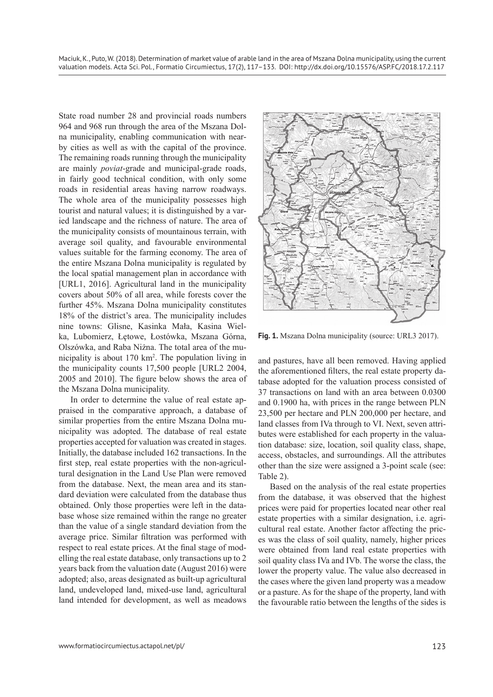State road number 28 and provincial roads numbers 964 and 968 run through the area of the Mszana Dolna municipality, enabling communication with nearby cities as well as with the capital of the province. The remaining roads running through the municipality are mainly *poviat*-grade and municipal-grade roads, in fairly good technical condition, with only some roads in residential areas having narrow roadways. The whole area of the municipality possesses high tourist and natural values; it is distinguished by a varied landscape and the richness of nature. The area of the municipality consists of mountainous terrain, with average soil quality, and favourable environmental values suitable for the farming economy. The area of the entire Mszana Dolna municipality is regulated by the local spatial management plan in accordance with [URL1, 2016]. Agricultural land in the municipality covers about 50% of all area, while forests cover the further 45%. Mszana Dolna municipality constitutes 18% of the district's area. The municipality includes nine towns: Glisne, Kasinka Mała, Kasina Wielka, Lubomierz, Łętowe, Łostówka, Mszana Górna, Olszówka, and Raba Niżna. The total area of the municipality is about 170 km2 . The population living in the municipality counts 17,500 people [URL2 2004, 2005 and 2010]. The figure below shows the area of the Mszana Dolna municipality.

In order to determine the value of real estate appraised in the comparative approach, a database of similar properties from the entire Mszana Dolna municipality was adopted. The database of real estate properties accepted for valuation was created in stages. Initially, the database included 162 transactions. In the first step, real estate properties with the non-agricultural designation in the Land Use Plan were removed from the database. Next, the mean area and its standard deviation were calculated from the database thus obtained. Only those properties were left in the database whose size remained within the range no greater than the value of a single standard deviation from the average price. Similar filtration was performed with respect to real estate prices. At the final stage of modelling the real estate database, only transactions up to 2 years back from the valuation date (August 2016) were adopted; also, areas designated as built-up agricultural land, undeveloped land, mixed-use land, agricultural land intended for development, as well as meadows



Fig. 1. Mszana Dolna municipality (source: URL3 2017).

and pastures, have all been removed. Having applied the aforementioned filters, the real estate property database adopted for the valuation process consisted of 37 transactions on land with an area between 0.0300 and 0.1900 ha, with prices in the range between PLN 23,500 per hectare and PLN 200,000 per hectare, and land classes from IVa through to VI. Next, seven attributes were established for each property in the valuation database: size, location, soil quality class, shape, access, obstacles, and surroundings. All the attributes other than the size were assigned a 3-point scale (see: Table 2).

Based on the analysis of the real estate properties from the database, it was observed that the highest prices were paid for properties located near other real estate properties with a similar designation, i.e. agricultural real estate. Another factor affecting the prices was the class of soil quality, namely, higher prices were obtained from land real estate properties with soil quality class IVa and IVb. The worse the class, the lower the property value. The value also decreased in the cases where the given land property was a meadow or a pasture. As for the shape of the property, land with the favourable ratio between the lengths of the sides is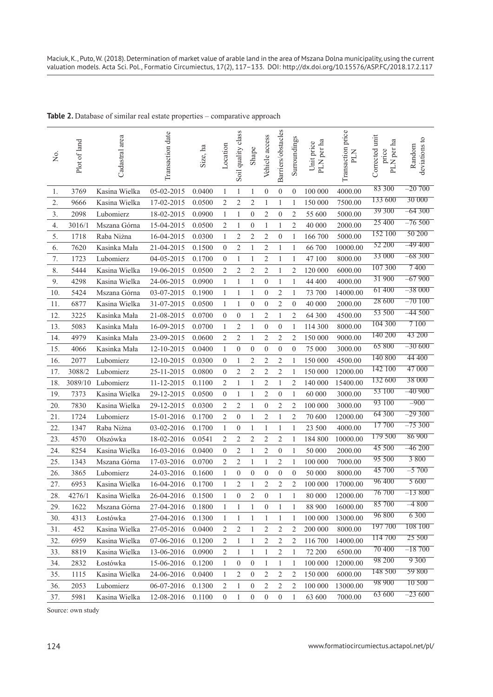| Σò,              | Plot of land | Cadastral area | Transaction date | Size, ha | Location         | Soil quality class | Shape                   | Vehicle access   | Barriers/obstacles | Surroundings     | PLN per ha<br>Unit price | Transaction price<br>PLN | Corrected unit<br>PLN per ha<br>price | deviations to<br>Random |
|------------------|--------------|----------------|------------------|----------|------------------|--------------------|-------------------------|------------------|--------------------|------------------|--------------------------|--------------------------|---------------------------------------|-------------------------|
| 1.               | 3769         | Kasina Wielka  | 05-02-2015       | 0.0400   | $\mathbf{1}$     | $\mathbf{1}$       | 1                       | $\boldsymbol{0}$ | $\boldsymbol{0}$   | $\boldsymbol{0}$ | 100 000                  | 4000.00                  | 83 300                                | $-20\,700$              |
| 2.               | 9666         | Kasina Wielka  | 17-02-2015       | 0.0500   | $\overline{c}$   | $\overline{c}$     | $\overline{c}$          | $\mathbf{1}$     | $\mathbf{1}$       | 1                | 150 000                  | 7500.00                  | 133 600                               | 30 000                  |
| 3.               | 2098         | Lubomierz      | 18-02-2015       | 0.0900   | $\mathbf{1}$     | 1                  | $\boldsymbol{0}$        | $\overline{c}$   | $\boldsymbol{0}$   | $\overline{c}$   | 55 600                   | 5000.00                  | 39 300                                | $-64300$                |
| $\overline{4}$ . | 3016/1       | Mszana Górna   | 15-04-2015       | 0.0500   | $\sqrt{2}$       | $\mathbf{1}$       | $\boldsymbol{0}$        | $\mathbf{1}$     | 1                  | 2                | 40 000                   | 2000.00                  | 25 400                                | $-76500$                |
| 5.               | 1718         | Raba Niżna     | 16-04-2015       | 0.0300   | $\mathbf{1}$     | $\overline{c}$     | $\overline{2}$          | $\sqrt{2}$       | $\boldsymbol{0}$   | $\mathbf{1}$     | 166 700                  | 5000.00                  | 152 100                               | 50 200                  |
| 6.               | 7620         | Kasinka Mała   | 21-04-2015       | 0.1500   | $\boldsymbol{0}$ | $\overline{c}$     | 1                       | 2                | 1                  | 1                | 66 700                   | 10000.00                 | 52 200                                | $-49400$                |
| $7. \,$          | 1723         | Lubomierz      | 04-05-2015       | 0.1700   | $\boldsymbol{0}$ | 1                  | 1                       | $\overline{c}$   | 1                  | 1                | 47 100                   | 8000.00                  | 33 000                                | $-68300$                |
| 8.               | 5444         | Kasina Wielka  | 19-06-2015       | 0.0500   | $\overline{c}$   | 2                  | $\overline{\mathbf{c}}$ | $\sqrt{2}$       | $\mathbf{1}$       | 2                | 120 000                  | 6000.00                  | 107 300                               | 7400                    |
| 9.               | 4298         | Kasina Wielka  | 24-06-2015       | 0.0900   | $\mathbf{1}$     | $\mathbf{1}$       | 1                       | $\boldsymbol{0}$ | $\mathbf{1}$       | 1                | 44 400                   | 4000.00                  | 31 900                                | $-67900$                |
| 10.              | 5424         | Mszana Górna   | 03-07-2015       | 0.1900   | 1                | 1                  | 1                       | $\boldsymbol{0}$ | 2                  | 1                | 73 700                   | 14000.00                 | 61 400                                | $-38000$                |
| 11.              | 6877         | Kasina Wielka  | 31-07-2015       | 0.0500   | $\mathbf{1}$     | 1                  | $\boldsymbol{0}$        | $\boldsymbol{0}$ | $\overline{c}$     | $\boldsymbol{0}$ | 40 000                   | 2000.00                  | 28 600                                | $-70100$                |
| 12.              | 3225         | Kasinka Mała   | 21-08-2015       | 0.0700   | $\boldsymbol{0}$ | $\boldsymbol{0}$   | 1                       | $\sqrt{2}$       | $\mathbf{1}$       | 2                | 64 300                   | 4500.00                  | 53 500                                | $-44500$                |
| 13.              | 5083         | Kasinka Mała   | 16-09-2015       | 0.0700   | 1                | $\overline{c}$     | $\mathbf{1}$            | $\boldsymbol{0}$ | $\boldsymbol{0}$   | 1                | 114 300                  | 8000.00                  | 104 300                               | 7 100                   |
| 14.              | 4979         | Kasinka Mała   | 23-09-2015       | 0.0600   | $\overline{c}$   | $\overline{c}$     | 1                       | $\overline{c}$   | $\overline{c}$     | $\overline{c}$   | 150 000                  | 9000.00                  | 140 200                               | 43 200                  |
| 15.              | 4066         | Kasinka Mała   | 12-10-2015       | 0.0400   | $\mathbf{1}$     | $\boldsymbol{0}$   | $\boldsymbol{0}$        | $\boldsymbol{0}$ | $\boldsymbol{0}$   | $\boldsymbol{0}$ | 75 000                   | 3000.00                  | 65 800                                | $-30600$                |
| 16.              | 2077         | Lubomierz      | 12-10-2015       | 0.0300   | $\boldsymbol{0}$ | $\mathbf{1}$       | 2                       | $\sqrt{2}$       | $\overline{c}$     | $\mathbf{1}$     | 150 000                  | 4500.00                  | 140 800                               | 44 400                  |
| 17.              | 3088/2       | Lubomierz      | 25-11-2015       | 0.0800   | $\boldsymbol{0}$ | $\overline{c}$     | $\overline{c}$          | $\sqrt{2}$       | $\overline{c}$     | $\mathbf{1}$     | 150 000                  | 12000.00                 | 142 100                               | 47 000                  |
| 18.              | 3089/10      | Lubomierz      | 11-12-2015       | 0.1100   | 2                | 1                  | 1                       | $\boldsymbol{2}$ | 1                  | $\overline{c}$   | 140 000                  | 15400.00                 | 132 600                               | 38 000                  |
| 19.              | 7373         | Kasina Wielka  | 29-12-2015       | 0.0500   | $\boldsymbol{0}$ | 1                  | 1                       | $\sqrt{2}$       | $\boldsymbol{0}$   | 1                | 60 000                   | 3000.00                  | 53 100                                | –40 900                 |
| 20.              | 7830         | Kasina Wielka  | 29-12-2015       | 0.0300   | $\overline{c}$   | $\overline{c}$     | 1                       | $\boldsymbol{0}$ | 2                  | $\overline{c}$   | 100 000                  | 3000.00                  | 93 100                                | $-900$                  |
| 21.              | 1724         | Lubomierz      | 15-01-2016       | 0.1700   | 2                | $\boldsymbol{0}$   | $\mathbf{1}$            | $\overline{c}$   | $\mathbf{1}$       | $\overline{c}$   | 70 600                   | 12000.00                 | 64 300                                | $-29300$                |
| 22.              | 1347         | Raba Niżna     | 03-02-2016       | 0.1700   | $\mathbf{1}$     | $\boldsymbol{0}$   | 1                       | $\mathbf{1}$     | 1                  | 1                | 23 500                   | 4000.00                  | 17700                                 | $-75300$                |
| 23.              | 4570         | Olszówka       | 18-02-2016       | 0.0541   | 2                | 2                  | 2                       | $\overline{c}$   | 2                  | 1                | 184 800                  | 10000.00                 | 179 500                               | 86 900                  |
| 24.              | 8254         | Kasina Wielka  | 16-03-2016       | 0.0400   | $\boldsymbol{0}$ | 2                  | 1                       | $\overline{c}$   | $\boldsymbol{0}$   | 1                | 50 000                   | 2000.00                  | 45 500                                | –46 200                 |
| 25.              | 1343         | Mszana Górna   | 17-03-2016       | 0.0700   | 2                | 2                  | 1                       | 1                | 2                  | 1                | 100 000                  | 7000.00                  | 95 500                                | 3 800                   |
| 26.              | 3865         | Lubomierz      | 24-03-2016       | 0.1600   | 1                | $\boldsymbol{0}$   | $\boldsymbol{0}$        | $\boldsymbol{0}$ | $\boldsymbol{0}$   | $\boldsymbol{0}$ | 50 000                   | 8000.00                  | 45 700                                | $-5700$                 |
| 27.              | 6953         | Kasina Wielka  | 16-04-2016       | 0.1700   | 1                | $\overline{c}$     | 1                       | $\overline{c}$   | $\overline{c}$     | $\overline{c}$   | 100 000                  | 17000.00                 | 96 400                                | 5 600                   |
| 28.              | 4276/1       | Kasina Wielka  | 26-04-2016       | 0.1500   | 1                | $\boldsymbol{0}$   | $\overline{2}$          | $\boldsymbol{0}$ | 1                  | 1                | 80 000                   | 12000.00                 | 76 700                                | $-13800$                |
| 29.              | 1622         | Mszana Górna   | 27-04-2016       | 0.1800   | 1                | 1                  | 1                       | $\boldsymbol{0}$ | $\mathbf{1}$       | 1                | 88 900                   | 16000.00                 | 85 700                                | $-4800$                 |
| 30.              | 4313         | Łostówka       | 27-04-2016       | 0.1300   | 1                | $\mathbf{1}$       | $\mathbf{1}$            | 1                | $\mathbf{1}$       | 1                | 100 000                  | 13000.00                 | 96 800                                | 6 3 0 0                 |
| 31.              | 452          | Kasina Wielka  | 27-05-2016       | 0.0400   | $\overline{2}$   | $\boldsymbol{2}$   | $\,1$                   | $\sqrt{2}$       | 2                  | 2                | 200 000                  | 8000.00                  | 197 700                               | 108 100                 |
| 32.              | 6959         | Kasina Wielka  | 07-06-2016       | 0.1200   | $\overline{2}$   | $\,1$              | $\mathbf{1}$            | $\sqrt{2}$       | 2                  | 2                | 116 700                  | 14000.00                 | 114 700                               | 25 500                  |
| 33.              | 8819         | Kasina Wielka  | 13-06-2016       | 0.0900   | $\overline{2}$   | 1                  | 1                       | 1                | 2                  | 1                | 72 200                   | 6500.00                  | 70 400                                | $-18700$                |
| 34.              | 2832         | Łostówka       | 15-06-2016       | 0.1200   | 1                | $\boldsymbol{0}$   | $\boldsymbol{0}$        | 1                | $\mathbf{1}$       | 1                | 100 000                  | 12000.00                 | 98 200                                | 9 3 0 0                 |
| 35.              | 1115         | Kasina Wielka  | 24-06-2016       | 0.0400   | 1                | $\overline{c}$     | $\boldsymbol{0}$        | $\sqrt{2}$       | 2                  | $\overline{c}$   | 150 000                  | 6000.00                  | 148 500                               | 59 800                  |
| 36.              | 2053         | Lubomierz      | 06-07-2016       | 0.1300   | $\overline{c}$   | 1                  | $\boldsymbol{0}$        | $\overline{c}$   | 2                  | 2                | 100 000                  | 13000.00                 | 98 900                                | 10 500                  |
| 37.              | 5981         | Kasina Wielka  | 12-08-2016       | 0.1100   | $\boldsymbol{0}$ | 1                  | $\boldsymbol{0}$        | $\boldsymbol{0}$ | $\boldsymbol{0}$   | 1                | 63 600                   | 7000.00                  | 63 600                                | $-23600$                |

Table 2. Database of similar real estate properties – comparative approach

Source: own study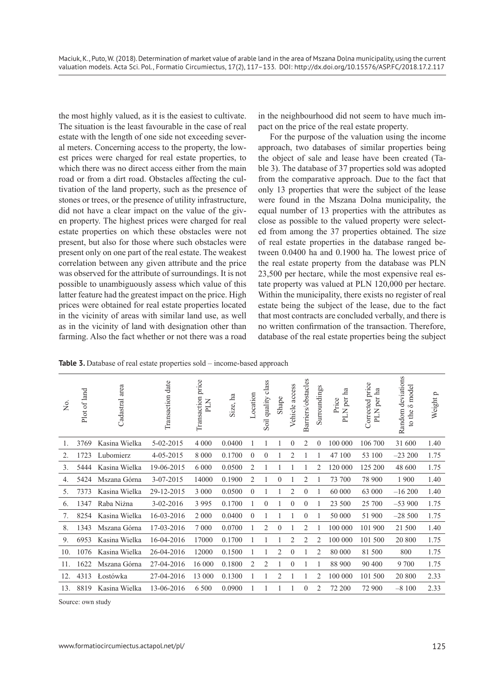the most highly valued, as it is the easiest to cultivate. The situation is the least favourable in the case of real estate with the length of one side not exceeding several meters. Concerning access to the property, the lowest prices were charged for real estate properties, to which there was no direct access either from the main road or from a dirt road. Obstacles affecting the cultivation of the land property, such as the presence of stones or trees, or the presence of utility infrastructure, did not have a clear impact on the value of the given property. The highest prices were charged for real estate properties on which these obstacles were not present, but also for those where such obstacles were present only on one part of the real estate. The weakest correlation between any given attribute and the price was observed for the attribute of surroundings. It is not possible to unambiguously assess which value of this latter feature had the greatest impact on the price. High prices were obtained for real estate properties located in the vicinity of areas with similar land use, as well as in the vicinity of land with designation other than farming. Also the fact whether or not there was a road

in the neighbourhood did not seem to have much impact on the price of the real estate property.

For the purpose of the valuation using the income approach, two databases of similar properties being the object of sale and lease have been created (Table 3). The database of 37 properties sold was adopted from the comparative approach. Due to the fact that only 13 properties that were the subject of the lease were found in the Mszana Dolna municipality, the equal number of 13 properties with the attributes as close as possible to the valued property were selected from among the 37 properties obtained. The size of real estate properties in the database ranged between 0.0400 ha and 0.1900 ha. The lowest price of the real estate property from the database was PLN 23,500 per hectare, while the most expensive real estate property was valued at PLN 120,000 per hectare. Within the municipality, there exists no register of real estate being the subject of the lease, due to the fact that most contracts are concluded verbally, and there is no written confirmation of the transaction. Therefore, database of the real estate properties being the subject

**Table 3.** Database of real estate properties sold – income-based approach

| $\overline{z}$ | Plot of land | Cadastral area | date<br>Transaction | Transaction price<br>PLN | Size, ha | Location       | Soil quality class | Shape          | Vehicle access | Barriers/obstacles | Surroundings   | PLN per ha<br>Price | Corrected price<br>PLN per ha | Random deviations<br><b>δ</b> model<br>to the | Weight p |
|----------------|--------------|----------------|---------------------|--------------------------|----------|----------------|--------------------|----------------|----------------|--------------------|----------------|---------------------|-------------------------------|-----------------------------------------------|----------|
| 1.             | 3769         | Kasina Wielka  | 5-02-2015           | 4 0 0 0                  | 0.0400   |                |                    |                | $\theta$       | $\overline{2}$     | $\theta$       | 100 000             | 106 700                       | 31 600                                        | 1.40     |
| 2.             | 1723         | Lubomierz      | 4-05-2015           | 8 0 0 0                  | 0.1700   | $\theta$       | $\overline{0}$     |                | $\overline{2}$ |                    |                | 47 100              | 53 100                        | $-23200$                                      | 1.75     |
| 3.             | 5444         | Kasina Wielka  | 19-06-2015          | 6 0 0 0                  | 0.0500   | $\overline{2}$ | 1                  |                |                |                    | 2              | 120 000             | 125 200                       | 48 600                                        | 1.75     |
| 4.             | 5424         | Mszana Górna   | 3-07-2015           | 14000                    | 0.1900   | $\overline{2}$ | 1                  | $\theta$       |                | 2                  |                | 73 700              | 78 900                        | 1 900                                         | 1.40     |
| 5.             | 7373         | Kasina Wielka  | 29-12-2015          | 3 000                    | 0.0500   | $\theta$       | 1                  |                | 2              | $\mathbf{0}$       | 1              | 60 000              | 63 000                        | $-16200$                                      | 1.40     |
| 6.             | 1347         | Raba Niżna     | $3 - 02 - 2016$     | 3 9 9 5                  | 0.1700   | 1              | $\theta$           | 1              | $\theta$       | $\overline{0}$     |                | 23 500              | 25 700                        | $-53900$                                      | 1.75     |
| 7.             | 8254         | Kasina Wielka  | 16-03-2016          | 2 0 0 0                  | 0.0400   | $\overline{0}$ |                    |                |                | $\theta$           |                | 50 000              | 51 900                        | $-28500$                                      | 1.75     |
| 8.             | 1343         | Mszana Górna   | 17-03-2016          | 7 0 0 0                  | 0.0700   |                | $\overline{c}$     | $\theta$       |                | $\overline{2}$     |                | 100 000             | 101 900                       | 21 500                                        | 1.40     |
| 9.             | 6953         | Kasina Wielka  | 16-04-2016          | 17000                    | 0.1700   |                |                    |                | $\overline{2}$ | $\overline{c}$     | 2              | 100 000             | 101 500                       | 20 800                                        | 1.75     |
| 10.            | 1076         | Kasina Wielka  | 26-04-2016          | 12000                    | 0.1500   |                |                    | $\overline{2}$ | $\theta$       |                    | $\overline{2}$ | 80 000              | 81 500                        | 800                                           | 1.75     |
| 11.            | 1622         | Mszana Górna   | 27-04-2016          | 16 000                   | 0.1800   | 2              | 2                  |                | $\theta$       |                    |                | 88 900              | 90 400                        | 9 700                                         | 1.75     |
| 12.            | 4313         | Lostówka       | 27-04-2016          | 13 000                   | 0.1300   |                |                    | $\overline{2}$ |                |                    | 2              | 100 000             | 101 500                       | 20 800                                        | 2.33     |
| 13.            | 8819         | Kasina Wielka  | 13-06-2016          | 6 500                    | 0.0900   |                |                    |                |                | $\theta$           | 2              | 72 200              | 72 900                        | $-8100$                                       | 2.33     |

Source: own study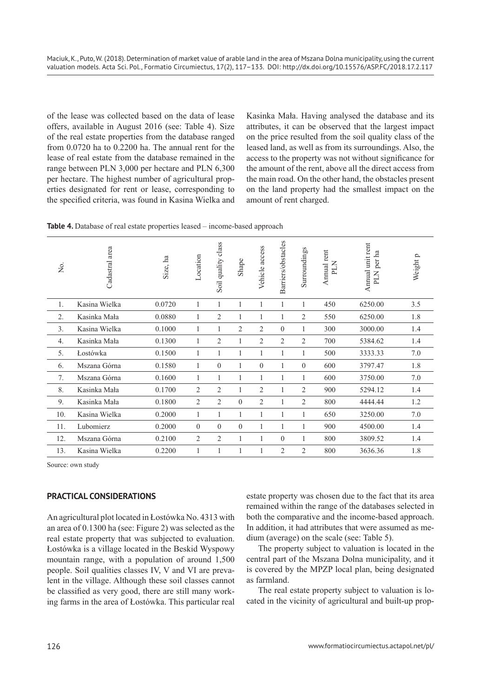of the lease was collected based on the data of lease offers, available in August 2016 (see: Table 4). Size of the real estate properties from the database ranged from 0.0720 ha to 0.2200 ha. The annual rent for the lease of real estate from the database remained in the range between PLN 3,000 per hectare and PLN 6,300 per hectare. The highest number of agricultural properties designated for rent or lease, corresponding to the specified criteria, was found in Kasina Wielka and Kasinka Mała. Having analysed the database and its attributes, it can be observed that the largest impact on the price resulted from the soil quality class of the leased land, as well as from its surroundings. Also, the access to the property was not without significance for the amount of the rent, above all the direct access from the main road. On the other hand, the obstacles present on the land property had the smallest impact on the amount of rent charged.

| Σó,              | Cadastral area | Size, ha | Location       | class<br>Soil quality | Shape    | Vehicle access | Barriers/obstacles | Surroundings   | Annual rent<br>NTd | Annual unit rent<br>per ha<br><b>NTd</b> | Weight p |
|------------------|----------------|----------|----------------|-----------------------|----------|----------------|--------------------|----------------|--------------------|------------------------------------------|----------|
| 1.               | Kasina Wielka  | 0.0720   | 1              | 1                     |          | 1              | 1                  | 1              | 450                | 6250.00                                  | 3.5      |
| 2.               | Kasinka Mała   | 0.0880   | 1              | 2                     | 1        | 1              | 1                  | $\overline{2}$ | 550                | 6250.00                                  | 1.8      |
| 3.               | Kasina Wielka  | 0.1000   | 1              | 1                     | 2        | $\overline{2}$ | $\theta$           | 1              | 300                | 3000.00                                  | 1.4      |
| $\overline{4}$ . | Kasinka Mała   | 0.1300   | 1              | 2                     | 1        | $\overline{2}$ | $\overline{2}$     | $\overline{2}$ | 700                | 5384.62                                  | 1.4      |
| 5.               | Łostówka       | 0.1500   | 1              | 1                     | 1        | 1              | 1                  | 1              | 500                | 3333.33                                  | 7.0      |
| 6.               | Mszana Górna   | 0.1580   | 1              | $\theta$              | 1        | $\theta$       | 1                  | $\Omega$       | 600                | 3797.47                                  | 1.8      |
| 7.               | Mszana Górna   | 0.1600   | $\mathbf{1}$   | 1                     | 1        | 1              | 1                  | 1              | 600                | 3750.00                                  | 7.0      |
| 8.               | Kasinka Mała   | 0.1700   | $\overline{2}$ | $\overline{2}$        | 1        | $\overline{2}$ | 1                  | $\overline{c}$ | 900                | 5294.12                                  | 1.4      |
| 9.               | Kasinka Mała   | 0.1800   | $\overline{2}$ | $\overline{2}$        | $\theta$ | $\overline{2}$ | 1                  | 2              | 800                | 4444.44                                  | 1.2      |
| 10.              | Kasina Wielka  | 0.2000   | 1              | 1                     | 1        | 1              | 1                  | 1              | 650                | 3250.00                                  | 7.0      |
| 11.              | Lubomierz      | 0.2000   | $\theta$       | $\theta$              | $\theta$ |                |                    |                | 900                | 4500.00                                  | 1.4      |
| 12.              | Mszana Górna   | 0.2100   | $\overline{2}$ | $\overline{2}$        | 1        | 1              | $\theta$           | 1              | 800                | 3809.52                                  | 1.4      |
| 13.              | Kasina Wielka  | 0.2200   | 1              |                       |          |                | $\overline{2}$     | $\overline{2}$ | 800                | 3636.36                                  | 1.8      |

Source: own study

# **PRACTICAL CONSIDERATIONS**

An agricultural plot located in Łostówka No. 4313 with an area of 0.1300 ha (see: Figure 2) was selected as the real estate property that was subjected to evaluation. Łostówka is a village located in the Beskid Wyspowy mountain range, with a population of around 1,500 people. Soil qualities classes IV, V and VI are prevalent in the village. Although these soil classes cannot be classified as very good, there are still many working farms in the area of Łostówka. This particular real

estate property was chosen due to the fact that its area remained within the range of the databases selected in both the comparative and the income-based approach. In addition, it had attributes that were assumed as medium (average) on the scale (see: Table 5).

The property subject to valuation is located in the central part of the Mszana Dolna municipality, and it is covered by the MPZP local plan, being designated as farmland.

The real estate property subject to valuation is located in the vicinity of agricultural and built-up prop-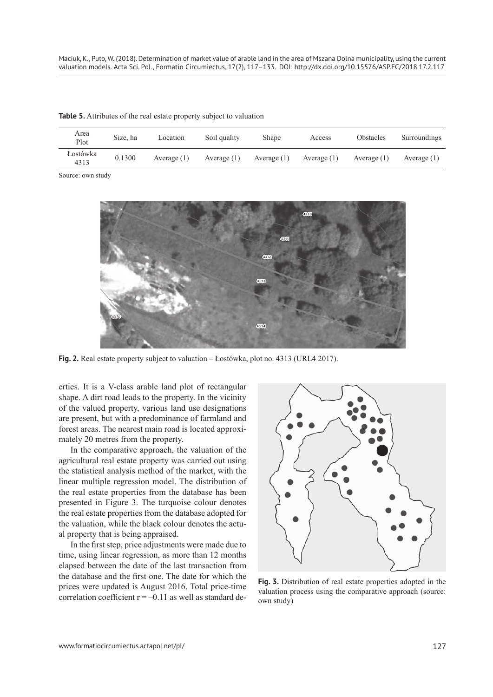| Area<br>Plot     | Size, ha | Location      | Soil quality  | Shape         | Access        | Obstacles     | Surroundings  |
|------------------|----------|---------------|---------------|---------------|---------------|---------------|---------------|
| Łostówka<br>4313 | 0.1300   | Average $(1)$ | Average $(1)$ | Average $(1)$ | Average $(1)$ | Average $(1)$ | Average $(1)$ |

**Table 5.** Attributes of the real estate property subject to valuation

Source: own study



**Fig. 2.** Real estate property subject to valuation – Łostówka, plot no. 4313 (URL4 2017).

erties. It is a V-class arable land plot of rectangular shape. A dirt road leads to the property. In the vicinity of the valued property, various land use designations are present, but with a predominance of farmland and forest areas. The nearest main road is located approximately 20 metres from the property.

In the comparative approach, the valuation of the agricultural real estate property was carried out using the statistical analysis method of the market, with the linear multiple regression model. The distribution of the real estate properties from the database has been presented in Figure 3. The turquoise colour denotes the real estate properties from the database adopted for the valuation, while the black colour denotes the actual property that is being appraised.

In the first step, price adjustments were made due to time, using linear regression, as more than 12 months elapsed between the date of the last transaction from the database and the first one. The date for which the prices were updated is August 2016. Total price-time correlation coefficient  $r = -0.11$  as well as standard de-



**Fig. 3.** Distribution of real estate properties adopted in the valuation process using the comparative approach (source: own study)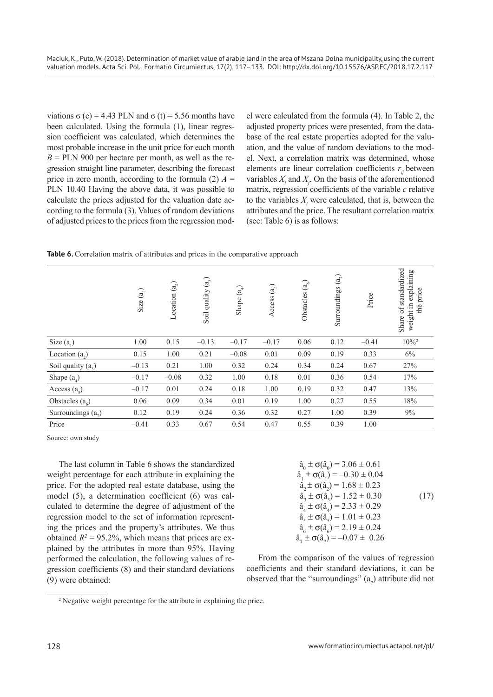viations σ (c) = 4.43 PLN and σ (t) = 5.56 months have been calculated. Using the formula (1), linear regression coefficient was calculated, which determines the most probable increase in the unit price for each month  $B = PLN$  900 per hectare per month, as well as the regression straight line parameter, describing the forecast price in zero month, according to the formula (2)  $A =$ PLN 10.40 Having the above data, it was possible to calculate the prices adjusted for the valuation date according to the formula (3). Values of random deviations of adjusted prices to the prices from the regression model were calculated from the formula (4). In Table 2, the adjusted property prices were presented, from the database of the real estate properties adopted for the valuation, and the value of random deviations to the model. Next, a correlation matrix was determined, whose elements are linear correlation coefficients  $r_i$  between variables  $X_i$  and  $X_j$ . On the basis of the aforementioned matrix, regression coefficients of the variable *c* relative to the variables  $X_i$  were calculated, that is, between the attributes and the price. The resultant correlation matrix (see: Table 6) is as follows:

|  |  |  |  |  |  | Table 6. Correlation matrix of attributes and prices in the comparative approach |  |
|--|--|--|--|--|--|----------------------------------------------------------------------------------|--|
|--|--|--|--|--|--|----------------------------------------------------------------------------------|--|

|                      | Size $(a_1)$ | Location $(a_2)$ | $\left( \begin{smallmatrix} a\end{smallmatrix} \right)$<br>Soil quality | $\binom{a}{b}$<br>Shape - | (a)<br>Access | Obstacles $(a_6)$ | Surroundings $(a_7)$ | Price   | Share of standardized<br>weight in explaining<br>the price |
|----------------------|--------------|------------------|-------------------------------------------------------------------------|---------------------------|---------------|-------------------|----------------------|---------|------------------------------------------------------------|
| Size $(a_1)$         | 1.00         | 0.15             | $-0.13$                                                                 | $-0.17$                   | $-0.17$       | 0.06              | 0.12                 | $-0.41$ | $10\%$ <sup>2</sup>                                        |
| Location $(a_2)$     | 0.15         | 1.00             | 0.21                                                                    | $-0.08$                   | 0.01          | 0.09              | 0.19                 | 0.33    | 6%                                                         |
| Soil quality $(a_2)$ | $-0.13$      | 0.21             | 1.00                                                                    | 0.32                      | 0.24          | 0.34              | 0.24                 | 0.67    | 27%                                                        |
| Shape $(a_4)$        | $-0.17$      | $-0.08$          | 0.32                                                                    | 1.00                      | 0.18          | 0.01              | 0.36                 | 0.54    | 17%                                                        |
| Access $(a_5)$       | $-0.17$      | 0.01             | 0.24                                                                    | 0.18                      | 1.00          | 0.19              | 0.32                 | 0.47    | 13%                                                        |
| Obstacles $(a_{c})$  | 0.06         | 0.09             | 0.34                                                                    | 0.01                      | 0.19          | 1.00              | 0.27                 | 0.55    | 18%                                                        |
| Surroundings $(az)$  | 0.12         | 0.19             | 0.24                                                                    | 0.36                      | 0.32          | 0.27              | 1.00                 | 0.39    | 9%                                                         |
| Price                | $-0.41$      | 0.33             | 0.67                                                                    | 0.54                      | 0.47          | 0.55              | 0.39                 | 1.00    |                                                            |

Source: own study

The last column in Table 6 shows the standardized weight percentage for each attribute in explaining the price. For the adopted real estate database, using the model (5), a determination coefficient (6) was calculated to determine the degree of adjustment of the regression model to the set of information representing the prices and the property's attributes. We thus obtained  $R^2 = 95.2\%$ , which means that prices are explained by the attributes in more than 95%. Having performed the calculation, the following values of regression coefficients (8) and their standard deviations (9) were obtained:

$$
\hat{a}_0 \pm \sigma(\hat{a}_0) = 3.06 \pm 0.61\n\hat{a}_1 \pm \sigma(\hat{a}_1) = -0.30 \pm 0.04\n\hat{a}_2 \pm \sigma(\hat{a}_2) = 1.68 \pm 0.23\n\hat{a}_3 \pm \sigma(\hat{a}_3) = 1.52 \pm 0.30\n\hat{a}_4 \pm \sigma(\hat{a}_4) = 2.33 \pm 0.29\n\hat{a}_5 \pm \sigma(\hat{a}_5) = 1.01 \pm 0.23\n\hat{a}_6 \pm \sigma(\hat{a}_6) = 2.19 \pm 0.24\n\hat{a}_7 \pm \sigma(\hat{a}_7) = -0.07 \pm 0.26
$$
\n(17)

From the comparison of the values of regression coefficients and their standard deviations, it can be observed that the "surroundings"  $(a_7)$  attribute did not

<sup>&</sup>lt;sup>2</sup> Negative weight percentage for the attribute in explaining the price.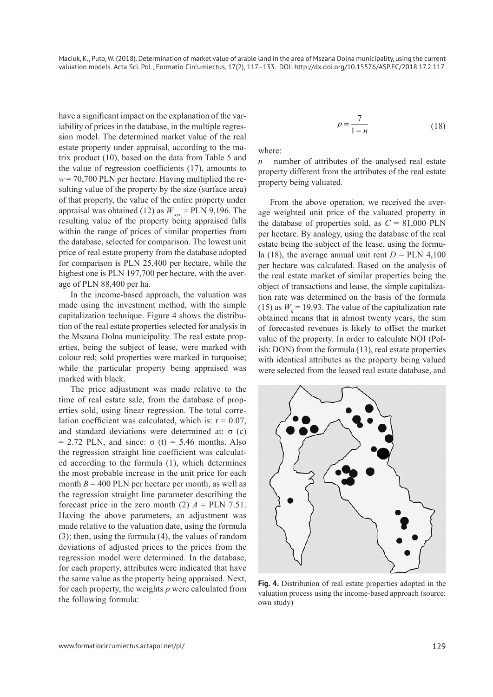have a significant impact on the explanation of the variability of prices in the database, in the multiple regression model. The determined market value of the real estate property under appraisal, according to the matrix product (10), based on the data from Table 5 and the value of regression coefficients (17), amounts to  $w = 70,700$  PLN per hectare. Having multiplied the resulting value of the property by the size (surface area) of that property, the value of the entire property under appraisal was obtained (12) as  $W_{\text{wyc}} = PLN$  9,196. The resulting value of the property being appraised falls within the range of prices of similar properties from the database, selected for comparison. The lowest unit price of real estate property from the database adopted for comparison is PLN 25,400 per hectare, while the highest one is PLN 197,700 per hectare, with the average of PLN 88,400 per ha.

In the income-based approach, the valuation was made using the investment method, with the simple capitalization technique. Figure 4 shows the distribution of the real estate properties selected for analysis in the Mszana Dolna municipality. The real estate properties, being the subject of lease, were marked with colour red; sold properties were marked in turquoise; while the particular property being appraised was marked with black.

The price adjustment was made relative to the time of real estate sale, from the database of properties sold, using linear regression. The total correlation coefficient was calculated, which is:  $r = 0.07$ , and standard deviations were determined at:  $σ$  (c) = 2.72 PLN, and since:  $σ(t) = 5.46$  months. Also the regression straight line coefficient was calculated according to the formula (1), which determines the most probable increase in the unit price for each month  $B = 400$  PLN per hectare per month, as well as the regression straight line parameter describing the forecast price in the zero month (2)  $A = PLN$  7.51. Having the above parameters, an adjustment was made relative to the valuation date, using the formula (3); then, using the formula (4), the values of random deviations of adjusted prices to the prices from the regression model were determined. In the database, for each property, attributes were indicated that have the same value as the property being appraised. Next, for each property, the weights *p* were calculated from the following formula:

$$
p = \frac{7}{1 - n} \tag{18}
$$

where:

 $n$  – number of attributes of the analysed real estate property different from the attributes of the real estate property being valuated.

From the above operation, we received the average weighted unit price of the valuated property in the database of properties sold, as  $C = 81,000$  PLN per hectare. By analogy, using the database of the real estate being the subject of the lease, using the formula (18), the average annual unit rent  $D = PLN$  4,100 per hectare was calculated. Based on the analysis of the real estate market of similar properties being the object of transactions and lease, the simple capitalization rate was determined on the basis of the formula (15) as  $W<sub>k</sub> = 19.93$ . The value of the capitalization rate obtained means that in almost twenty years, the sum of forecasted revenues is likely to offset the market value of the property. In order to calculate NOI (Polish: DON) from the formula (13), real estate properties with identical attributes as the property being valued were selected from the leased real estate database, and



**Fig. 4.** Distribution of real estate properties adopted in the valuation process using the income-based approach (source: own study)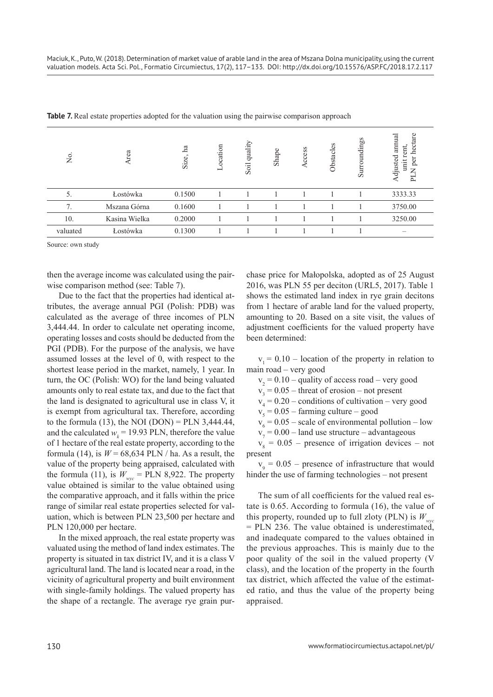| Χo.      | Area          | ha<br>Size, | ocation<br>⊢ | quality<br>Soil | Shape | Access | Obstacles | Surroundings | tare<br>$\mathbb{E}$<br>ann<br>$\sec$<br>ent,<br>djusted<br>g<br>init<br>黃 |
|----------|---------------|-------------|--------------|-----------------|-------|--------|-----------|--------------|----------------------------------------------------------------------------|
| 5.       | Łostówka      | 0.1500      |              |                 |       |        |           |              | 3333.33                                                                    |
| 7.       | Mszana Górna  | 0.1600      |              |                 |       |        |           |              | 3750.00                                                                    |
| 10.      | Kasina Wielka | 0.2000      |              |                 |       |        |           |              | 3250.00                                                                    |
| valuated | Łostówka      | 0.1300      |              |                 |       |        |           |              |                                                                            |

**Table 7.** Real estate properties adopted for the valuation using the pairwise comparison approach

Source: own study

then the average income was calculated using the pairwise comparison method (see: Table 7).

Due to the fact that the properties had identical attributes, the average annual PGI (Polish: PDB) was calculated as the average of three incomes of PLN 3,444.44. In order to calculate net operating income, operating losses and costs should be deducted from the PGI (PDB). For the purpose of the analysis, we have assumed losses at the level of 0, with respect to the shortest lease period in the market, namely, 1 year. In turn, the OC (Polish: WO) for the land being valuated amounts only to real estate tax, and due to the fact that the land is designated to agricultural use in class V, it is exempt from agricultural tax. Therefore, according to the formula  $(13)$ , the NOI  $(DON) = PLN$  3,444.44, and the calculated  $w_k$  = 19.93 PLN, therefore the value of 1 hectare of the real estate property, according to the formula (14), is  $W = 68,634$  PLN / ha. As a result, the value of the property being appraised, calculated with the formula (11), is  $W_{\text{wyc}} =$  PLN 8,922. The property value obtained is similar to the value obtained using the comparative approach, and it falls within the price range of similar real estate properties selected for valuation, which is between PLN 23,500 per hectare and PLN 120,000 per hectare.

In the mixed approach, the real estate property was valuated using the method of land index estimates. The property is situated in tax district IV, and it is a class V agricultural land. The land is located near a road, in the vicinity of agricultural property and built environment with single-family holdings. The valued property has the shape of a rectangle. The average rye grain purchase price for Małopolska, adopted as of 25 August 2016, was PLN 55 per deciton (URL5, 2017). Table 1 shows the estimated land index in rye grain decitons from 1 hectare of arable land for the valued property, amounting to 20. Based on a site visit, the values of adjustment coefficients for the valued property have been determined:

 $v_1 = 0.10$  – location of the property in relation to main road – very good

 $v_2 = 0.10$  – quality of access road – very good

 $v_3 = 0.05$  – threat of erosion – not present

 $v_4 = 0.20$  – conditions of cultivation – very good

 $v<sub>5</sub> = 0.05 - farming culture - good$ 

 $v_6 = 0.05$  – scale of environmental pollution – low

 $v_7 = 0.00$  – land use structure – advantageous

 $v_8 = 0.05$  – presence of irrigation devices – not present

 $v<sub>9</sub> = 0.05$  – presence of infrastructure that would hinder the use of farming technologies – not present

The sum of all coefficients for the valued real estate is 0.65. According to formula (16), the value of this property, rounded up to full zloty (PLN) is  $W_{wyc}$ = PLN 236. The value obtained is underestimated, and inadequate compared to the values obtained in the previous approaches. This is mainly due to the poor quality of the soil in the valued property (V class), and the location of the property in the fourth tax district, which affected the value of the estimated ratio, and thus the value of the property being appraised.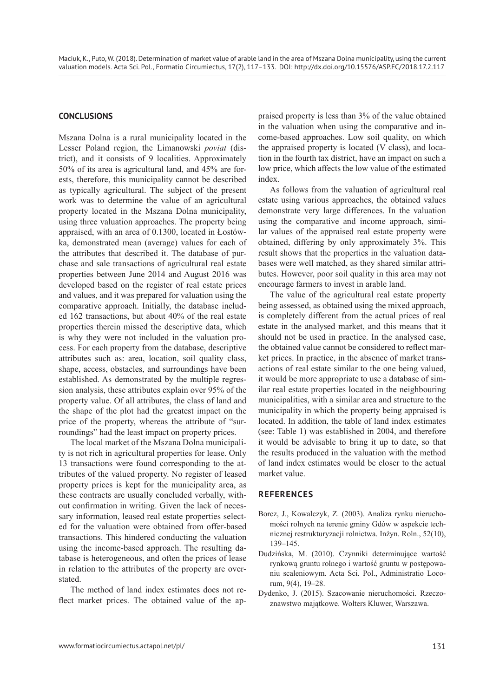## **CONCLUSIONS**

Mszana Dolna is a rural municipality located in the Lesser Poland region, the Limanowski *poviat* (district), and it consists of 9 localities. Approximately 50% of its area is agricultural land, and 45% are forests, therefore, this municipality cannot be described as typically agricultural. The subject of the present work was to determine the value of an agricultural property located in the Mszana Dolna municipality, using three valuation approaches. The property being appraised, with an area of 0.1300, located in Łostówka, demonstrated mean (average) values for each of the attributes that described it. The database of purchase and sale transactions of agricultural real estate properties between June 2014 and August 2016 was developed based on the register of real estate prices and values, and it was prepared for valuation using the comparative approach. Initially, the database included 162 transactions, but about 40% of the real estate properties therein missed the descriptive data, which is why they were not included in the valuation process. For each property from the database, descriptive attributes such as: area, location, soil quality class, shape, access, obstacles, and surroundings have been established. As demonstrated by the multiple regression analysis, these attributes explain over 95% of the property value. Of all attributes, the class of land and the shape of the plot had the greatest impact on the price of the property, whereas the attribute of "surroundings" had the least impact on property prices.

The local market of the Mszana Dolna municipality is not rich in agricultural properties for lease. Only 13 transactions were found corresponding to the attributes of the valued property. No register of leased property prices is kept for the municipality area, as these contracts are usually concluded verbally, without confirmation in writing. Given the lack of necessary information, leased real estate properties selected for the valuation were obtained from offer-based transactions. This hindered conducting the valuation using the income-based approach. The resulting database is heterogeneous, and often the prices of lease in relation to the attributes of the property are overstated.

The method of land index estimates does not reflect market prices. The obtained value of the appraised property is less than 3% of the value obtained in the valuation when using the comparative and income-based approaches. Low soil quality, on which the appraised property is located (V class), and location in the fourth tax district, have an impact on such a low price, which affects the low value of the estimated index.

As follows from the valuation of agricultural real estate using various approaches, the obtained values demonstrate very large differences. In the valuation using the comparative and income approach, similar values of the appraised real estate property were obtained, differing by only approximately 3%. This result shows that the properties in the valuation databases were well matched, as they shared similar attributes. However, poor soil quality in this area may not encourage farmers to invest in arable land.

The value of the agricultural real estate property being assessed, as obtained using the mixed approach, is completely different from the actual prices of real estate in the analysed market, and this means that it should not be used in practice. In the analysed case, the obtained value cannot be considered to reflect market prices. In practice, in the absence of market transactions of real estate similar to the one being valued, it would be more appropriate to use a database of similar real estate properties located in the neighbouring municipalities, with a similar area and structure to the municipality in which the property being appraised is located. In addition, the table of land index estimates (see: Table 1) was established in 2004, and therefore it would be advisable to bring it up to date, so that the results produced in the valuation with the method of land index estimates would be closer to the actual market value.

### **References**

- Borcz, J., Kowalczyk, Z. (2003). Analiza rynku nieruchomości rolnych na terenie gminy Gdów w aspekcie technicznej restrukturyzacji rolnictwa. Inżyn. Roln., 52(10), 139–145.
- Dudzińska, M. (2010). Czynniki determinujące wartość rynkową gruntu rolnego i wartość gruntu w postępowaniu scaleniowym. Acta Sci. Pol., Administratio Locorum, 9(4), 19–28.
- Dydenko, J. (2015). Szacowanie nieruchomości. Rzeczoznawstwo majątkowe. Wolters Kluwer, Warszawa.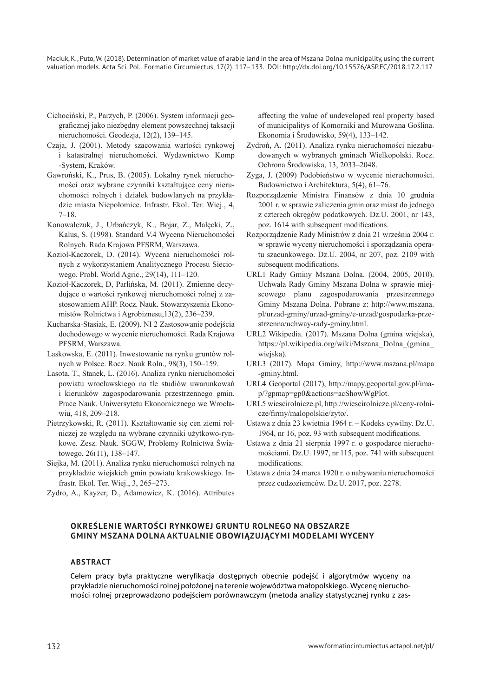Maciuk, K., Puto, W. (2018). Determination of market value of arable land in the area of Mszana Dolna municipality, using the current valuation models. Acta Sci. Pol., Formatio Circumiectus, 17(2), 117-133. DOI: http://dx.doi.org/10.15576/ASP.FC/2018.17.2.117

- Cichociński, P., Parzych, P. (2006). System informacji geograficznej jako niezbędny element powszechnej taksacji nieruchomości. Geodezja, 12(2), 139–145.
- Czaja, J. (2001). Metody szacowania wartości rynkowej i katastralnej nieruchomości. Wydawnictwo Komp -System, Kraków.
- Gawroński, K., Prus, B. (2005). Lokalny rynek nieruchomości oraz wybrane czynniki kształtujące ceny nieruchomości rolnych i działek budowlanych na przykładzie miasta Niepołomice. Infrastr. Ekol. Ter. Wiej., 4, 7–18.
- Konowalczuk, J., Urbańczyk, K., Bojar, Z., Małęcki, Z., Kalus, S. (1998). Standard V.4 Wycena Nieruchomości Rolnych. Rada Krajowa PFSRM, Warszawa.
- Kozioł-Kaczorek, D. (2014). Wycena nieruchomości rolnych z wykorzystaniem Analitycznego Procesu Sieciowego. Probl. World Agric., 29(14), 111–120.
- Kozioł-Kaczorek, D, Parlińska, M. (2011). Zmienne decydujące o wartości rynkowej nieruchomości rolnej z zastosowaniem AHP. Rocz. Nauk. Stowarzyszenia Ekonomistów Rolnictwa i Agrobiznesu,13(2), 236–239.
- Kucharska-Stasiak, E. (2009). NI 2 Zastosowanie podejścia dochodowego w wycenie nieruchomości. Rada Krajowa PFSRM, Warszawa.
- Laskowska, E. (2011). Inwestowanie na rynku gruntów rolnych w Polsce. Rocz. Nauk Roln., 98(3), 150–159.
- Lasota, T., Stanek, L. (2016). Analiza rynku nieruchomości powiatu wrocławskiego na tle studiów uwarunkowań i kierunków zagospodarowania przestrzennego gmin. Prace Nauk. Uniwersytetu Ekonomicznego we Wrocławiu, 418, 209–218.
- Pietrzykowski, R. (2011). Kształtowanie się cen ziemi rolniczej ze względu na wybrane czynniki użytkowo-rynkowe. Zesz. Nauk. SGGW, Problemy Rolnictwa Światowego, 26(11), 138–147.
- Siejka, M. (2011). Analiza rynku nieruchomości rolnych na przykładzie wiejskich gmin powiatu krakowskiego. Infrastr. Ekol. Ter. Wiej., 3, 265–273.
- Zydro, A., Kayzer, D., Adamowicz, K. (2016). Attributes

affecting the value of undeveloped real property based of municipalitys of Komorniki and Murowana Goślina. Ekonomia i Środowisko, 59(4), 133–142.

- Zydroń, A. (2011). Analiza rynku nieruchomości niezabudowanych w wybranych gminach Wielkopolski. Rocz. Ochrona Środowiska, 13, 2033–2048.
- Zyga, J. (2009) Podobieństwo w wycenie nieruchomości. Budownictwo i Architektura, 5(4), 61–76.
- Rozporządzenie Ministra Finansów z dnia 10 grudnia 2001 r. w sprawie zaliczenia gmin oraz miast do jednego z czterech okręgów podatkowych. Dz.U. 2001, nr 143, poz. 1614 with subsequent modifications.
- Rozporządzenie Rady Ministrów z dnia 21 września 2004 r. w sprawie wyceny nieruchomości i sporządzania operatu szacunkowego. Dz.U. 2004, nr 207, poz. 2109 with subsequent modifications.
- URL1 Rady Gminy Mszana Dolna. (2004, 2005, 2010). Uchwała Rady Gminy Mszana Dolna w sprawie miejscowego planu zagospodarowania przestrzennego Gminy Mszana Dolna. Pobrane z: http://www.mszana. pl/urzad-gminy/urzad-gminy/e-urzad/gospodarka-przestrzenna/uchway-rady-gminy.html.
- URL2 Wikipedia. (2017). Mszana Dolna (gmina wiejska), https://pl.wikipedia.org/wiki/Mszana\_Dolna\_(gmina\_ wiejska).
- URL3 (2017). Mapa Gminy, http://www.mszana.pl/mapa -gminy.html.
- URL4 Geoportal (2017), http://mapy.geoportal.gov.pl/imap/?gpmap=gp0&actions=acShowWgPlot.
- URL5 wiescirolnicze.pl, http://wiescirolnicze.pl/ceny-rolnicze/firmy/malopolskie/zyto/.
- Ustawa z dnia 23 kwietnia 1964 r. Kodeks cywilny. Dz.U. 1964, nr 16, poz. 93 with subsequent modifications.
- Ustawa z dnia 21 sierpnia 1997 r. o gospodarce nieruchomościami. Dz.U. 1997, nr 115, poz. 741 with subsequent modifications.
- Ustawa z dnia 24 marca 1920 r. o nabywaniu nieruchomości przez cudzoziemców. Dz.U. 2017, poz. 2278.

## **Określenie wartości rynkowej gruntu rolnego na obszarze gminy Mszana Dolna aktualnie obowiązującymi modelami wyceny**

### **Abstract**

Celem pracy była praktyczne weryfikacja dostępnych obecnie podejść i algorytmów wyceny na przykładzie nieruchomości rolnej położonej na terenie województwa małopolskiego. Wycenę nieruchomości rolnej przeprowadzono podejściem porównawczym (metoda analizy statystycznej rynku z zas